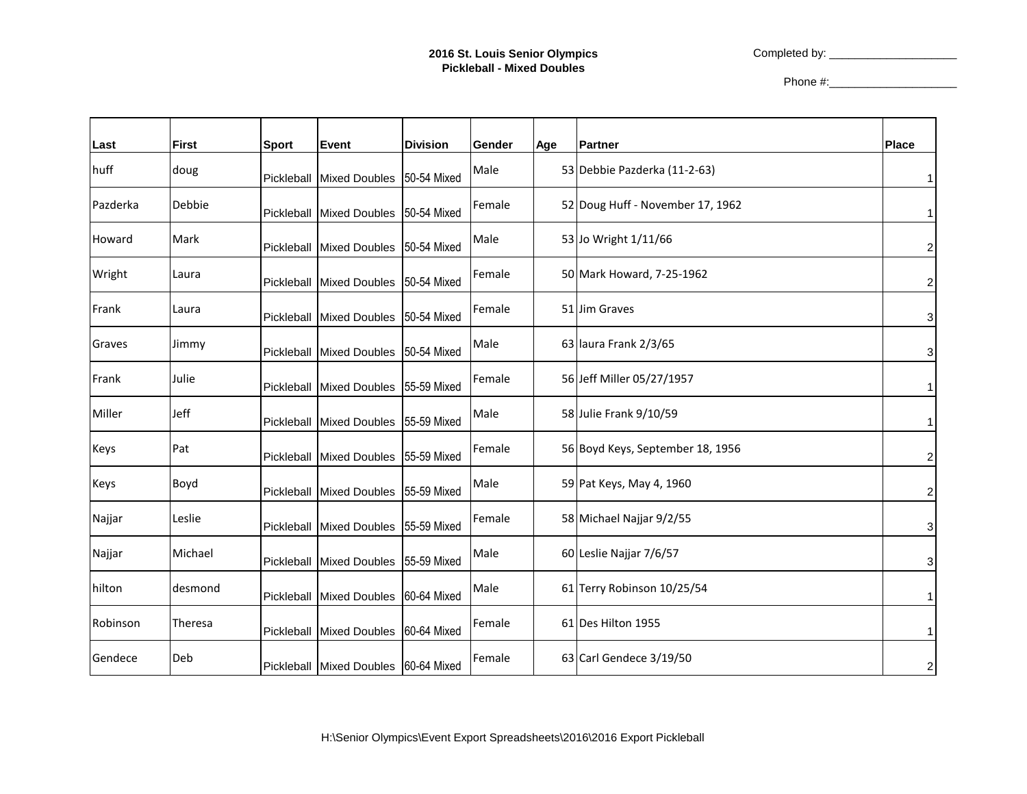Completed by: \_\_\_\_\_\_\_\_\_\_\_\_\_\_\_\_\_\_\_\_

Phone #:\_\_\_\_\_\_\_\_\_\_\_\_\_\_\_\_\_\_\_\_

| Last     | <b>First</b> | <b>Sport</b> | Event                                | <b>Division</b> | Gender | Age | <b>Partner</b>                   | <b>Place</b>            |
|----------|--------------|--------------|--------------------------------------|-----------------|--------|-----|----------------------------------|-------------------------|
| huff     | doug         |              | Pickleball Mixed Doubles             | 50-54 Mixed     | Male   |     | 53 Debbie Pazderka (11-2-63)     |                         |
| Pazderka | Debbie       | Pickleball   | <b>Mixed Doubles</b>                 | 50-54 Mixed     | Female |     | 52 Doug Huff - November 17, 1962 |                         |
| Howard   | Mark         |              | Pickleball Mixed Doubles             | 50-54 Mixed     | Male   |     | 53 Jo Wright 1/11/66             | 2                       |
| Wright   | Laura        |              | Pickleball Mixed Doubles             | 50-54 Mixed     | Female |     | 50 Mark Howard, 7-25-1962        | $\overline{\mathbf{c}}$ |
| Frank    | Laura        |              | Pickleball Mixed Doubles             | 50-54 Mixed     | Female |     | 51 Jim Graves                    | 3                       |
| Graves   | Jimmy        |              | Pickleball Mixed Doubles 50-54 Mixed |                 | Male   |     | 63 laura Frank 2/3/65            | 3                       |
| Frank    | Julie        |              | Pickleball Mixed Doubles             | 55-59 Mixed     | Female |     | 56 Jeff Miller 05/27/1957        |                         |
| Miller   | Jeff         |              | Pickleball Mixed Doubles             | 55-59 Mixed     | Male   |     | 58 Julie Frank 9/10/59           |                         |
| Keys     | Pat          |              | Pickleball Mixed Doubles 55-59 Mixed |                 | Female |     | 56 Boyd Keys, September 18, 1956 | 2                       |
| Keys     | Boyd         |              | Pickleball Mixed Doubles             | 55-59 Mixed     | Male   |     | 59 Pat Keys, May 4, 1960         | 2                       |
| Najjar   | Leslie       |              | Pickleball Mixed Doubles             | 55-59 Mixed     | Female |     | 58 Michael Najjar 9/2/55         | 3                       |
| Najjar   | Michael      |              | Pickleball Mixed Doubles 55-59 Mixed |                 | Male   |     | 60 Leslie Najjar 7/6/57          | 3                       |
| hilton   | desmond      |              | Pickleball Mixed Doubles             | 60-64 Mixed     | Male   |     | 61 Terry Robinson 10/25/54       |                         |
| Robinson | Theresa      |              | Pickleball Mixed Doubles             | 60-64 Mixed     | Female |     | 61 Des Hilton 1955               |                         |
| Gendece  | Deb          |              | Pickleball Mixed Doubles 60-64 Mixed |                 | Female |     | 63 Carl Gendece 3/19/50          | 2                       |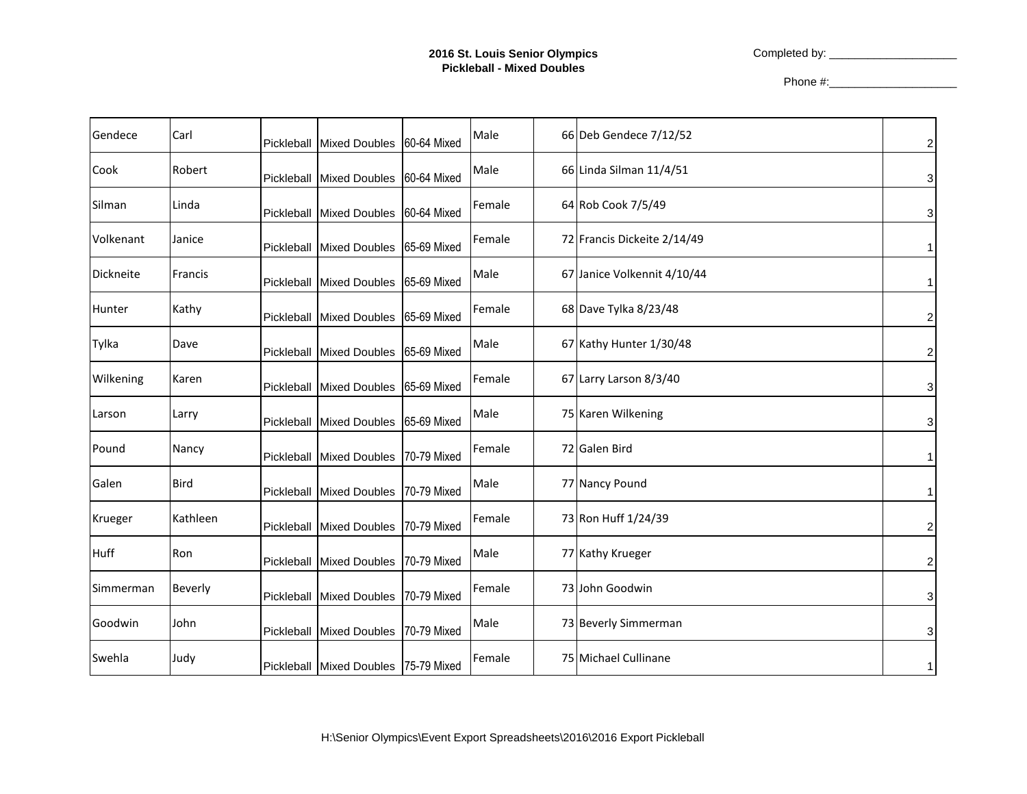Completed by: \_\_\_\_\_\_\_\_\_\_\_\_\_\_\_\_\_\_\_\_

Phone #:\_\_\_\_\_\_\_\_\_\_\_\_\_\_\_\_\_\_\_\_

| Gendece       | Carl        | Pickleball | Mixed Doubles 60-64 Mixed            |             | Male   | 66 Deb Gendece 7/12/52      | $\boldsymbol{2}$ |
|---------------|-------------|------------|--------------------------------------|-------------|--------|-----------------------------|------------------|
| Cook          | Robert      | Pickleball | <b>Mixed Doubles</b>                 | 60-64 Mixed | Male   | 66 Linda Silman 11/4/51     | 3                |
| Silman        | Linda       | Pickleball | <b>Mixed Doubles</b>                 | 60-64 Mixed | Female | 64 Rob Cook 7/5/49          | 3                |
| Volkenant     | Janice      | Pickleball | Mixed Doubles 65-69 Mixed            |             | Female | 72 Francis Dickeite 2/14/49 | 1                |
| Dickneite     | Francis     | Pickleball | <b>Mixed Doubles</b>                 | 65-69 Mixed | Male   | 67 Janice Volkennit 4/10/44 | 1                |
| <b>Hunter</b> | Kathy       |            | Pickleball Mixed Doubles             | 65-69 Mixed | Female | 68 Dave Tylka 8/23/48       | 2                |
| Tylka         | Dave        | Pickleball | Mixed Doubles 65-69 Mixed            |             | Male   | 67 Kathy Hunter 1/30/48     | $\boldsymbol{2}$ |
| Wilkening     | Karen       | Pickleball | <b>Mixed Doubles</b>                 | 65-69 Mixed | Female | 67 Larry Larson 8/3/40      | 3                |
| Larson        | Larry       |            | Pickleball Mixed Doubles 65-69 Mixed |             | Male   | 75 Karen Wilkening          | 3                |
| Pound         | Nancy       | Pickleball | <b>Mixed Doubles</b>                 | 70-79 Mixed | Female | 72 Galen Bird               |                  |
| Galen         | <b>Bird</b> | Pickleball | <b>Mixed Doubles</b>                 | 70-79 Mixed | Male   | 77 Nancy Pound              | 1                |
| Krueger       | Kathleen    |            | Pickleball Mixed Doubles             | 70-79 Mixed | Female | 73 Ron Huff 1/24/39         | $\boldsymbol{2}$ |
| <b>Huff</b>   | Ron         | Pickleball | <b>Mixed Doubles</b>                 | 70-79 Mixed | Male   | 77 Kathy Krueger            | $\boldsymbol{2}$ |
| Simmerman     | Beverly     | Pickleball | <b>Mixed Doubles</b>                 | 70-79 Mixed | Female | 73 John Goodwin             | 3                |
| Goodwin       | John        |            | Pickleball Mixed Doubles             | 70-79 Mixed | Male   | 73 Beverly Simmerman        | 3                |
| Swehla        | Judy        |            | Pickleball Mixed Doubles 75-79 Mixed |             | Female | 75 Michael Cullinane        | 1                |